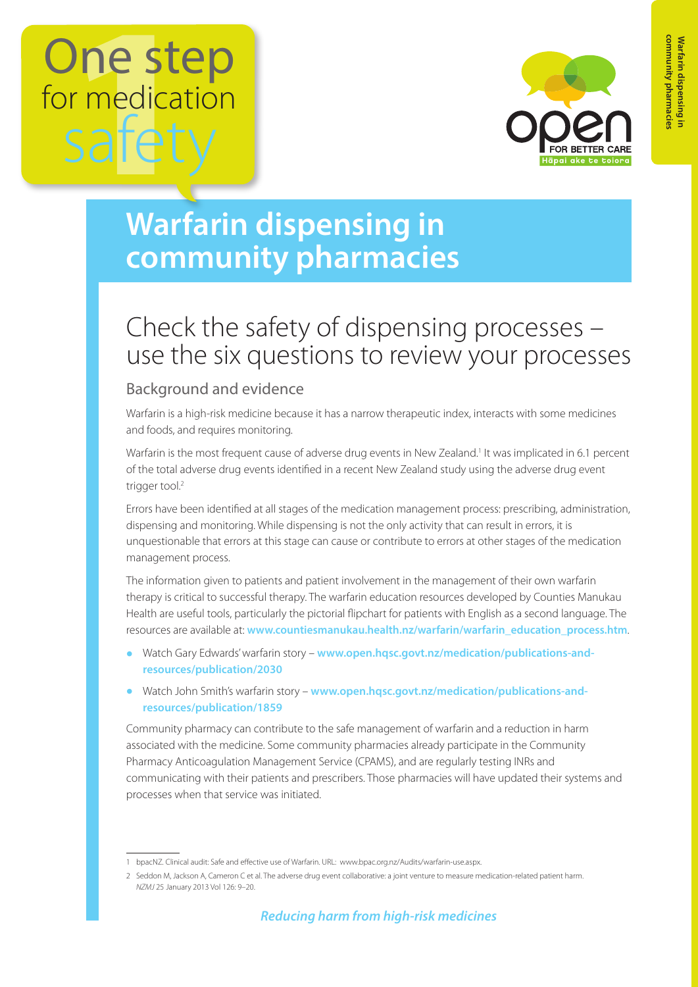

## **Warfarin dispensing in community pharmacies**

### Check the safety of dispensing processes – use the six questions to review your processes

#### Background and evidence

Warfarin is a high-risk medicine because it has a narrow therapeutic index, interacts with some medicines and foods, and requires monitoring.

Warfarin is the most frequent cause of adverse drug events in New Zealand.<sup>1</sup> It was implicated in 6.1 percent of the total adverse drug events identified in a recent New Zealand study using the adverse drug event trigger tool.<sup>2</sup>

Errors have been identified at all stages of the medication management process: prescribing, administration, dispensing and monitoring. While dispensing is not the only activity that can result in errors, it is unquestionable that errors at this stage can cause or contribute to errors at other stages of the medication management process.

The information given to patients and patient involvement in the management of their own warfarin therapy is critical to successful therapy. The warfarin education resources developed by Counties Manukau Health are useful tools, particularly the pictorial flipchart for patients with English as a second language. The resources are available at: **[www.countiesmanukau.health.nz/warfarin/warfarin\\_education\\_process.htm](http://www.countiesmanukau.health.nz/warfarin/warfarin_education_process.htm)**.

- **•** Watch Gary Edwards' warfarin story **[www.open.hqsc.govt.nz/medication/publications-and](http://www.open.hqsc.govt.nz/medication/publications-and-resources/publication/2030)[resources/publication/2030](http://www.open.hqsc.govt.nz/medication/publications-and-resources/publication/2030)**
- **•** Watch John Smith's warfarin story **[www.open.hqsc.govt.nz/medication/publications-and](http://www.open.hqsc.govt.nz/medication/publications-and-resources/publication/1859)[resources/publication/1859](http://www.open.hqsc.govt.nz/medication/publications-and-resources/publication/1859)**

Community pharmacy can contribute to the safe management of warfarin and a reduction in harm associated with the medicine. Some community pharmacies already participate in the Community Pharmacy Anticoagulation Management Service (CPAMS), and are regularly testing INRs and communicating with their patients and prescribers. Those pharmacies will have updated their systems and processes when that service was initiated.

<sup>1</sup> bpacNZ. Clinical audit: Safe and effective use of Warfarin. URL: [www.bpac.org.nz/Audits/warfarin-use.aspx.](http://www.bpac.org.nz/Audits/warfarin-use.aspx)

<sup>2</sup> Seddon M, Jackson A, Cameron C et al. The adverse drug event collaborative: a joint venture to measure medication-related patient harm. *NZMJ* 25 January 2013 Vol 126: 9–20.